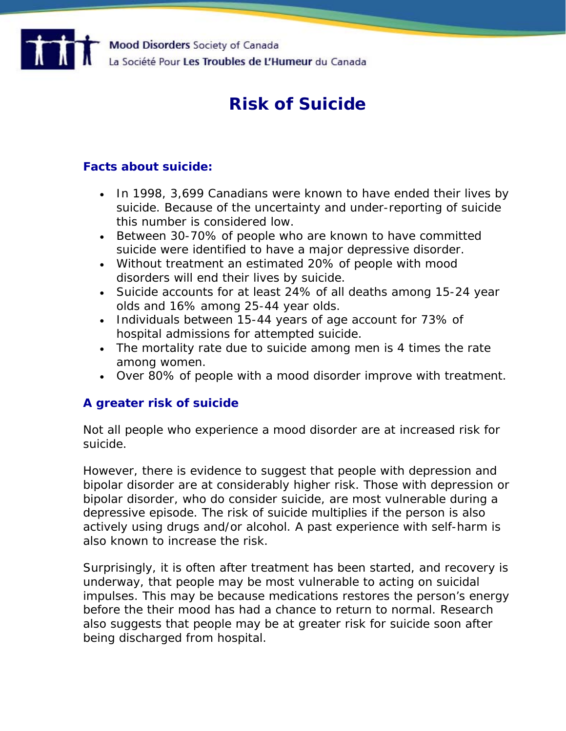

# **Risk of Suicide**

# **Facts about suicide:**

- In 1998, 3,699 Canadians were known to have ended their lives by suicide. Because of the uncertainty and under-reporting of suicide this number is considered low.
- Between 30-70% of people who are known to have committed suicide were identified to have a major depressive disorder.
- Without treatment an estimated 20% of people with mood disorders will end their lives by suicide.
- Suicide accounts for at least 24% of all deaths among 15-24 year olds and 16% among 25-44 year olds.
- Individuals between 15-44 years of age account for 73% of hospital admissions for attempted suicide.
- The mortality rate due to suicide among men is 4 times the rate among women.
- Over 80% of people with a mood disorder improve with treatment.

## **A greater risk of suicide**

Not all people who experience a mood disorder are at increased risk for suicide.

However, there is evidence to suggest that people with depression and bipolar disorder are at considerably higher risk. Those with depression or bipolar disorder, who do consider suicide, are most vulnerable during a depressive episode. The risk of suicide multiplies if the person is also actively using drugs and/or alcohol. A past experience with self-harm is also known to increase the risk.

Surprisingly, it is often after treatment has been started, and recovery is underway, that people may be most vulnerable to acting on suicidal impulses. This may be because medications restores the person's energy before the their mood has had a chance to return to normal. Research also suggests that people may be at greater risk for suicide soon after being discharged from hospital.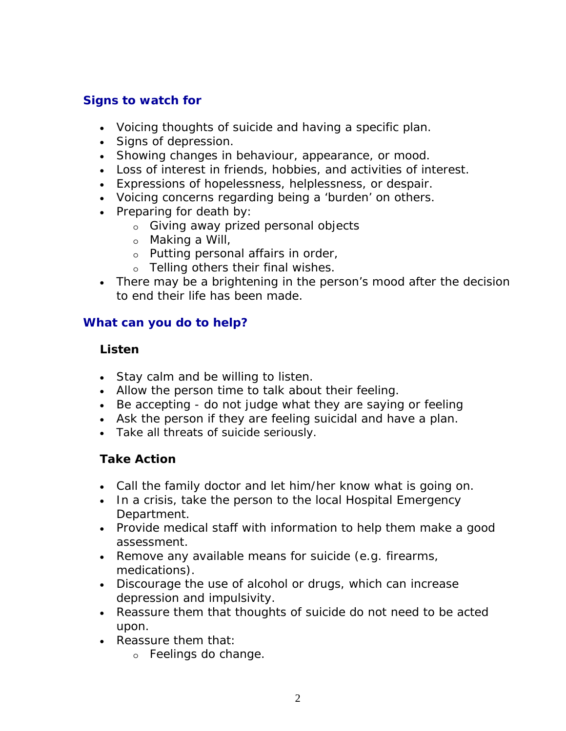# **Signs to watch for**

- Voicing thoughts of suicide and having a specific plan.
- Signs of depression.
- Showing changes in behaviour, appearance, or mood.
- Loss of interest in friends, hobbies, and activities of interest.
- Expressions of hopelessness, helplessness, or despair.
- Voicing concerns regarding being a 'burden' on others.
- Preparing for death by:
	- o Giving away prized personal objects
	- o Making a Will,
	- o Putting personal affairs in order,
	- o Telling others their final wishes.
- There may be a brightening in the person's mood after the decision to end their life has been made.

## **What can you do to help?**

## **Listen**

- Stay calm and be willing to listen.
- Allow the person time to talk about their feeling.
- Be accepting do not judge what they are saying or feeling
- Ask the person if they are feeling suicidal and have a plan.
- Take all threats of suicide seriously.

## **Take Action**

- Call the family doctor and let him/her know what is going on.
- In a crisis, take the person to the local Hospital Emergency Department.
- Provide medical staff with information to help them make a good assessment.
- Remove any available means for suicide (e.g. firearms, medications).
- Discourage the use of alcohol or drugs, which can increase depression and impulsivity.
- Reassure them that thoughts of suicide do not need to be acted upon.
- Reassure them that:
	- o Feelings do change.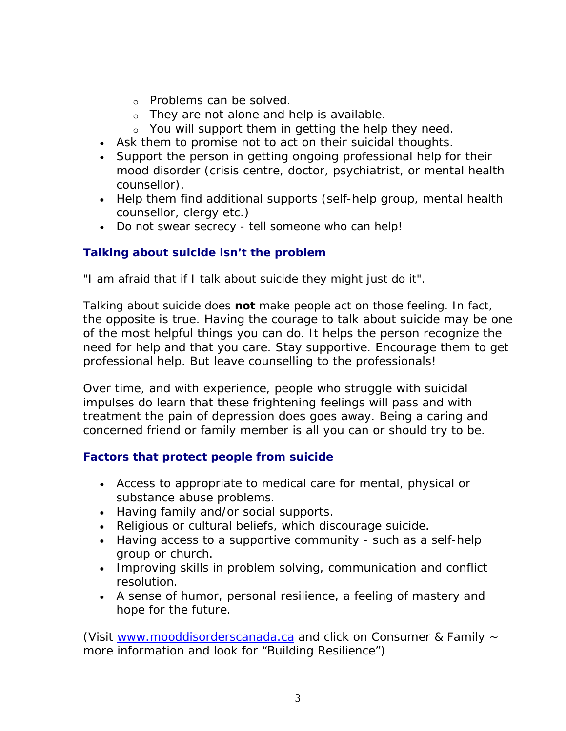- o Problems can be solved.
- o They are not alone and help is available.
- o You will support them in getting the help they need.
- Ask them to promise not to act on their suicidal thoughts.
- Support the person in getting ongoing professional help for their mood disorder (crisis centre, doctor, psychiatrist, or mental health counsellor).
- Help them find additional supports (self-help group, mental health counsellor, clergy etc.)
- Do not swear secrecy tell someone who can help!

# **Talking about suicide isn't the problem**

"I am afraid that if I talk about suicide they might just do it".

Talking about suicide does **not** make people act on those feeling. In fact, the opposite is true. Having the courage to talk about suicide may be one of the most helpful things you can do. It helps the person recognize the need for help and that you care. Stay supportive. Encourage them to get professional help. But leave counselling to the professionals!

Over time, and with experience, people who struggle with suicidal impulses do learn that these frightening feelings will pass and with treatment the pain of depression does goes away. Being a caring and concerned friend or family member is all you can or should try to be.

## **Factors that protect people from suicide**

- Access to appropriate to medical care for mental, physical or substance abuse problems.
- Having family and/or social supports.
- Religious or cultural beliefs, which discourage suicide.
- Having access to a supportive community such as a self-help group or church.
- Improving skills in problem solving, communication and conflict resolution.
- A sense of humor, personal resilience, a feeling of mastery and hope for the future.

(Visit [www.mooddisorderscanada.ca](http://www.mooddisorderscanada.ca/) and click on Consumer & Family ~ more information and look for "Building Resilience")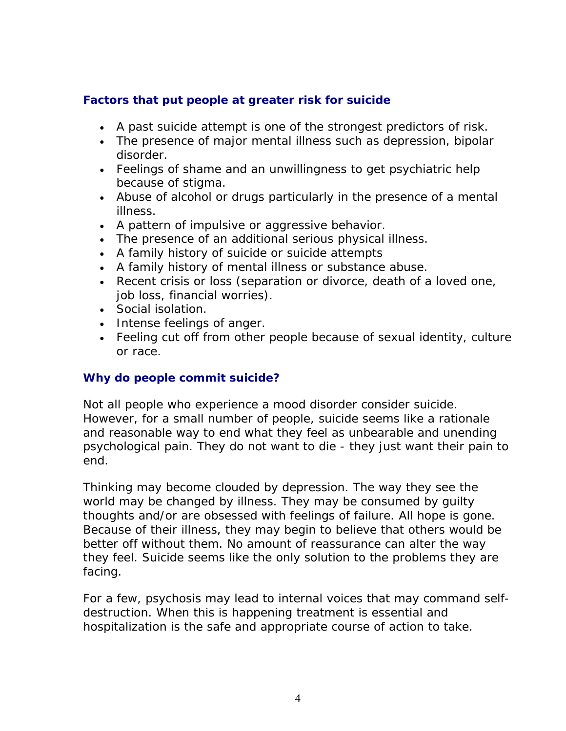## **Factors that put people at greater risk for suicide**

- A past suicide attempt is one of the strongest predictors of risk.
- The presence of major mental illness such as depression, bipolar disorder.
- Feelings of shame and an unwillingness to get psychiatric help because of stigma.
- Abuse of alcohol or drugs particularly in the presence of a mental illness.
- A pattern of impulsive or aggressive behavior.
- The presence of an additional serious physical illness.
- A family history of suicide or suicide attempts
- A family history of mental illness or substance abuse.
- Recent crisis or loss (separation or divorce, death of a loved one, job loss, financial worries).
- Social isolation.
- Intense feelings of anger.
- Feeling cut off from other people because of sexual identity, culture or race.

### **Why do people commit suicide?**

Not all people who experience a mood disorder consider suicide. However, for a small number of people, suicide seems like a rationale and reasonable way to end what they feel as unbearable and unending psychological pain. They do not want to die - they just want their pain to end.

Thinking may become clouded by depression. The way they see the world may be changed by illness. They may be consumed by guilty thoughts and/or are obsessed with feelings of failure. All hope is gone. Because of their illness, they may begin to believe that others would be better off without them. No amount of reassurance can alter the way they feel. Suicide seems like the only solution to the problems they are facing.

For a few, psychosis may lead to internal voices that may command selfdestruction. When this is happening treatment is essential and hospitalization is the safe and appropriate course of action to take.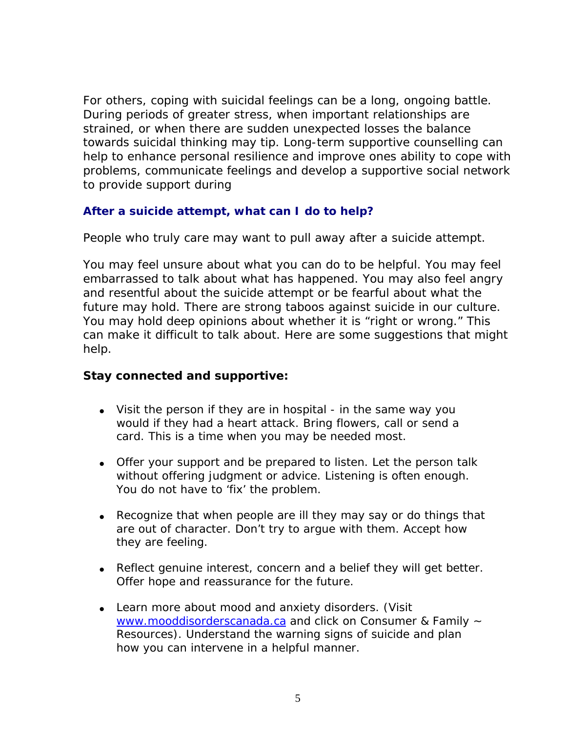For others, coping with suicidal feelings can be a long, ongoing battle. During periods of greater stress, when important relationships are strained, or when there are sudden unexpected losses the balance towards suicidal thinking may tip. Long-term supportive counselling can help to enhance personal resilience and improve ones ability to cope with problems, communicate feelings and develop a supportive social network to provide support during

### **After a suicide attempt, what can I do to help?**

People who truly care may want to pull away after a suicide attempt.

You may feel unsure about what you can do to be helpful. You may feel embarrassed to talk about what has happened. You may also feel angry and resentful about the suicide attempt or be fearful about what the future may hold. There are strong taboos against suicide in our culture. You may hold deep opinions about whether it is "right or wrong." This can make it difficult to talk about. Here are some suggestions that might help.

### **Stay connected and supportive:**

- Visit the person if they are in hospital in the same way you would if they had a heart attack. Bring flowers, call or send a card. This is a time when you may be needed most.
- Offer your support and be prepared to listen. Let the person talk without offering judgment or advice. Listening is often enough. You do not have to 'fix' the problem.
- Recognize that when people are ill they may say or do things that are out of character. Don't try to argue with them. Accept how they are feeling.
- Reflect genuine interest, concern and a belief they will get better. Offer hope and reassurance for the future.
- Learn more about mood and anxiety disorders. (Visit [www.mooddisorderscanada.ca](http://www.mooddisorderscanada.ca/) and click on Consumer & Family ~ Resources). Understand the warning signs of suicide and plan how you can intervene in a helpful manner.